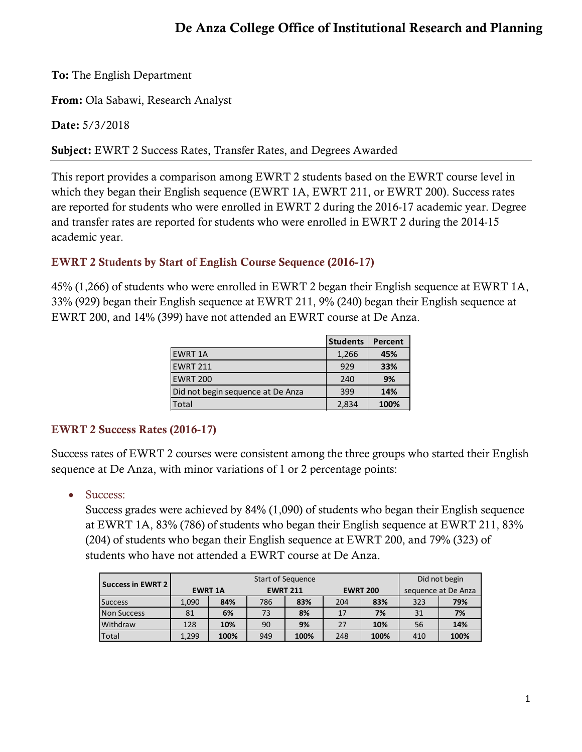# De Anza College Office of Institutional Research and Planning

To: The English Department

From: Ola Sabawi, Research Analyst

Date: 5/3/2018

#### Subject: EWRT 2 Success Rates, Transfer Rates, and Degrees Awarded

This report provides a comparison among EWRT 2 students based on the EWRT course level in which they began their English sequence (EWRT 1A, EWRT 211, or EWRT 200). Success rates are reported for students who were enrolled in EWRT 2 during the 2016-17 academic year. Degree and transfer rates are reported for students who were enrolled in EWRT 2 during the 2014-15 academic year.

#### EWRT 2 Students by Start of English Course Sequence (2016-17)

45% (1,266) of students who were enrolled in EWRT 2 began their English sequence at EWRT 1A, 33% (929) began their English sequence at EWRT 211, 9% (240) began their English sequence at EWRT 200, and 14% (399) have not attended an EWRT course at De Anza.

|                                   | <b>Students</b> | Percent |
|-----------------------------------|-----------------|---------|
| EWRT 1A                           | 1,266           | 45%     |
| <b>EWRT 211</b>                   | 929             | 33%     |
| EWRT 200                          | 240             | 9%      |
| Did not begin sequence at De Anza | 399             | 14%     |
| Total                             | 2,834           | 100%    |

## EWRT 2 Success Rates (2016-17)

Success rates of EWRT 2 courses were consistent among the three groups who started their English sequence at De Anza, with minor variations of 1 or 2 percentage points:

• Success:

Success grades were achieved by 84% (1,090) of students who began their English sequence at EWRT 1A, 83% (786) of students who began their English sequence at EWRT 211, 83% (204) of students who began their English sequence at EWRT 200, and 79% (323) of students who have not attended a EWRT course at De Anza.

| Success in EWRT 2 |                |      | Did not begin   |      |                 |      |                     |      |
|-------------------|----------------|------|-----------------|------|-----------------|------|---------------------|------|
|                   | <b>EWRT 1A</b> |      | <b>EWRT 211</b> |      | <b>EWRT 200</b> |      | sequence at De Anza |      |
| <b>Success</b>    | 1.090          | 84%  | 786             | 83%  | 204             | 83%  | 323                 | 79%  |
| Non Success       | 81             | 6%   | 73              | 8%   | 17              | 7%   | 31                  | 7%   |
| Withdraw          | 128            | 10%  | 90              | 9%   | 27              | 10%  | 56                  | 14%  |
| Total             | 1.299          | 100% | 949             | 100% | 248             | 100% | 410                 | 100% |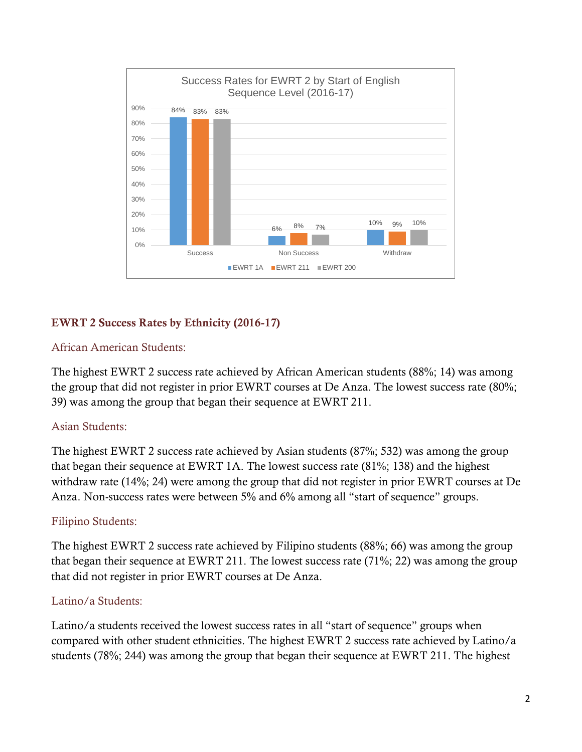

## EWRT 2 Success Rates by Ethnicity (2016-17)

#### African American Students:

The highest EWRT 2 success rate achieved by African American students (88%; 14) was among the group that did not register in prior EWRT courses at De Anza. The lowest success rate (80%; 39) was among the group that began their sequence at EWRT 211.

## Asian Students:

The highest EWRT 2 success rate achieved by Asian students (87%; 532) was among the group that began their sequence at EWRT 1A. The lowest success rate (81%; 138) and the highest withdraw rate (14%; 24) were among the group that did not register in prior EWRT courses at De Anza. Non-success rates were between 5% and 6% among all "start of sequence" groups.

## Filipino Students:

The highest EWRT 2 success rate achieved by Filipino students (88%; 66) was among the group that began their sequence at EWRT 211. The lowest success rate (71%; 22) was among the group that did not register in prior EWRT courses at De Anza.

## Latino/a Students:

Latino/a students received the lowest success rates in all "start of sequence" groups when compared with other student ethnicities. The highest EWRT 2 success rate achieved by Latino/a students (78%; 244) was among the group that began their sequence at EWRT 211. The highest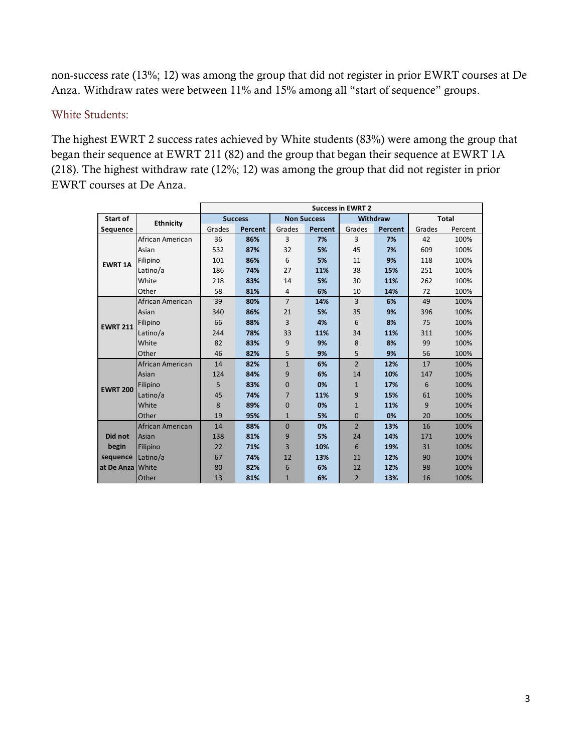non-success rate (13%; 12) was among the group that did not register in prior EWRT courses at De Anza. Withdraw rates were between 11% and 15% among all "start of sequence" groups.

#### White Students:

The highest EWRT 2 success rates achieved by White students (83%) were among the group that began their sequence at EWRT 211 (82) and the group that began their sequence at EWRT 1A (218). The highest withdraw rate (12%; 12) was among the group that did not register in prior EWRT courses at De Anza.

|                  |                  | <b>Success in EWRT 2</b> |         |                    |         |                |         |              |         |
|------------------|------------------|--------------------------|---------|--------------------|---------|----------------|---------|--------------|---------|
| Start of         | <b>Ethnicity</b> | <b>Success</b>           |         | <b>Non Success</b> |         | Withdraw       |         | <b>Total</b> |         |
| Sequence         |                  | Grades                   | Percent | Grades             | Percent | Grades         | Percent | Grades       | Percent |
|                  | African American | 36                       | 86%     | 3                  | 7%      | 3              | 7%      | 42           | 100%    |
|                  | Asian            | 532                      | 87%     | 32                 | 5%      | 45             | 7%      | 609          | 100%    |
| <b>EWRT 1A</b>   | Filipino         | 101                      | 86%     | 6                  | 5%      | 11             | 9%      | 118          | 100%    |
|                  | Latino/a         | 186                      | 74%     | 27                 | 11%     | 38             | 15%     | 251          | 100%    |
|                  | White            | 218                      | 83%     | 14                 | 5%      | 30             | 11%     | 262          | 100%    |
|                  | Other            | 58                       | 81%     | $\overline{4}$     | 6%      | 10             | 14%     | 72           | 100%    |
|                  | African American | 39                       | 80%     | $\overline{7}$     | 14%     | 3              | 6%      | 49           | 100%    |
|                  | Asian            | 340                      | 86%     | 21                 | 5%      | 35             | 9%      | 396          | 100%    |
| <b>EWRT 211</b>  | Filipino         | 66                       | 88%     | 3                  | 4%      | 6              | 8%      | 75           | 100%    |
|                  | Latino/a         | 244                      | 78%     | 33                 | 11%     | 34             | 11%     | 311          | 100%    |
|                  | White            | 82                       | 83%     | 9                  | 9%      | 8              | 8%      | 99           | 100%    |
|                  | Other            | 46                       | 82%     | 5                  | 9%      | 5              | 9%      | 56           | 100%    |
|                  | African American | 14                       | 82%     | $\mathbf{1}$       | 6%      | $\overline{2}$ | 12%     | 17           | 100%    |
|                  | Asian            | 124                      | 84%     | 9                  | 6%      | 14             | 10%     | 147          | 100%    |
| <b>EWRT 200</b>  | Filipino         | 5                        | 83%     | 0                  | 0%      | $\mathbf{1}$   | 17%     | 6            | 100%    |
|                  | Latino/a         | 45                       | 74%     | $\overline{7}$     | 11%     | 9              | 15%     | 61           | 100%    |
|                  | White            | 8                        | 89%     | $\overline{0}$     | 0%      | $\mathbf{1}$   | 11%     | 9            | 100%    |
|                  | Other            | 19                       | 95%     | $\mathbf{1}$       | 5%      | $\mathbf{0}$   | 0%      | 20           | 100%    |
|                  | African American | 14                       | 88%     | $\overline{0}$     | 0%      | $\overline{2}$ | 13%     | 16           | 100%    |
| Did not          | Asian            | 138                      | 81%     | 9                  | 5%      | 24             | 14%     | 171          | 100%    |
| begin            | Filipino         | 22                       | 71%     | 3                  | 10%     | 6              | 19%     | 31           | 100%    |
| sequence         | Latino/a         | 67                       | 74%     | 12                 | 13%     | 11             | 12%     | 90           | 100%    |
| at De Anza White |                  | 80                       | 82%     | 6                  | 6%      | 12             | 12%     | 98           | 100%    |
|                  | Other            | 13                       | 81%     | $\mathbf{1}$       | 6%      | $\overline{2}$ | 13%     | 16           | 100%    |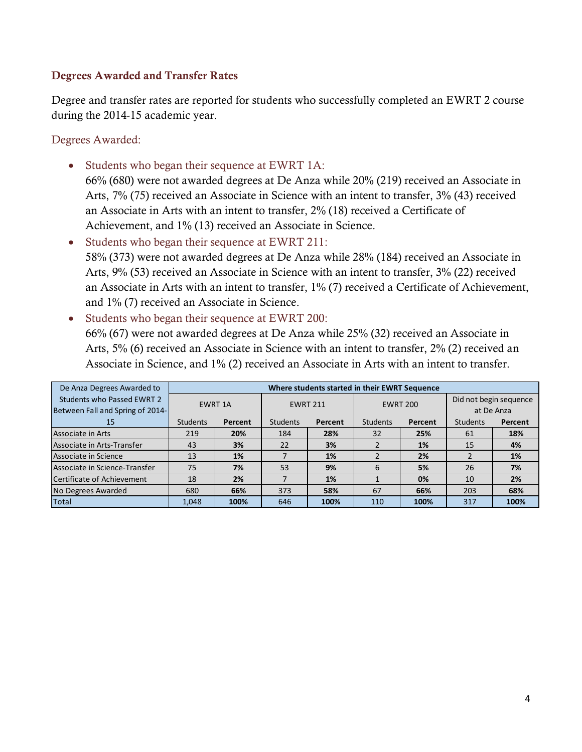#### Degrees Awarded and Transfer Rates

Degree and transfer rates are reported for students who successfully completed an EWRT 2 course during the 2014-15 academic year.

Degrees Awarded:

• Students who began their sequence at EWRT 1A:

66% (680) were not awarded degrees at De Anza while 20% (219) received an Associate in Arts, 7% (75) received an Associate in Science with an intent to transfer, 3% (43) received an Associate in Arts with an intent to transfer, 2% (18) received a Certificate of Achievement, and 1% (13) received an Associate in Science.

- Students who began their sequence at EWRT 211: 58% (373) were not awarded degrees at De Anza while 28% (184) received an Associate in Arts, 9% (53) received an Associate in Science with an intent to transfer, 3% (22) received an Associate in Arts with an intent to transfer, 1% (7) received a Certificate of Achievement, and 1% (7) received an Associate in Science.
- Students who began their sequence at EWRT 200: 66% (67) were not awarded degrees at De Anza while 25% (32) received an Associate in Arts, 5% (6) received an Associate in Science with an intent to transfer, 2% (2) received an Associate in Science, and 1% (2) received an Associate in Arts with an intent to transfer.

| De Anza Degrees Awarded to       | Where students started in their EWRT Sequence |         |                 |         |                 |         |                        |         |
|----------------------------------|-----------------------------------------------|---------|-----------------|---------|-----------------|---------|------------------------|---------|
| Students who Passed EWRT 2       | <b>EWRT 1A</b>                                |         | <b>EWRT 211</b> |         | <b>EWRT 200</b> |         | Did not begin sequence |         |
| Between Fall and Spring of 2014- |                                               |         |                 |         |                 |         | at De Anza             |         |
| 15                               | <b>Students</b>                               | Percent | Students        | Percent | <b>Students</b> | Percent | <b>Students</b>        | Percent |
| Associate in Arts                | 219                                           | 20%     | 184             | 28%     | 32              | 25%     | 61                     | 18%     |
| Associate in Arts-Transfer       | 43                                            | 3%      | 22              | 3%      |                 | 1%      | 15                     | 4%      |
| Associate in Science             | 13                                            | 1%      |                 | 1%      |                 | 2%      |                        | 1%      |
| Associate in Science-Transfer    | 75                                            | 7%      | 53              | 9%      | 6               | 5%      | 26                     | 7%      |
| Certificate of Achievement       | 18                                            | 2%      |                 | 1%      |                 | 0%      | 10                     | 2%      |
| No Degrees Awarded               | 680                                           | 66%     | 373             | 58%     | 67              | 66%     | 203                    | 68%     |
| Total                            | 1,048                                         | 100%    | 646             | 100%    | 110             | 100%    | 317                    | 100%    |